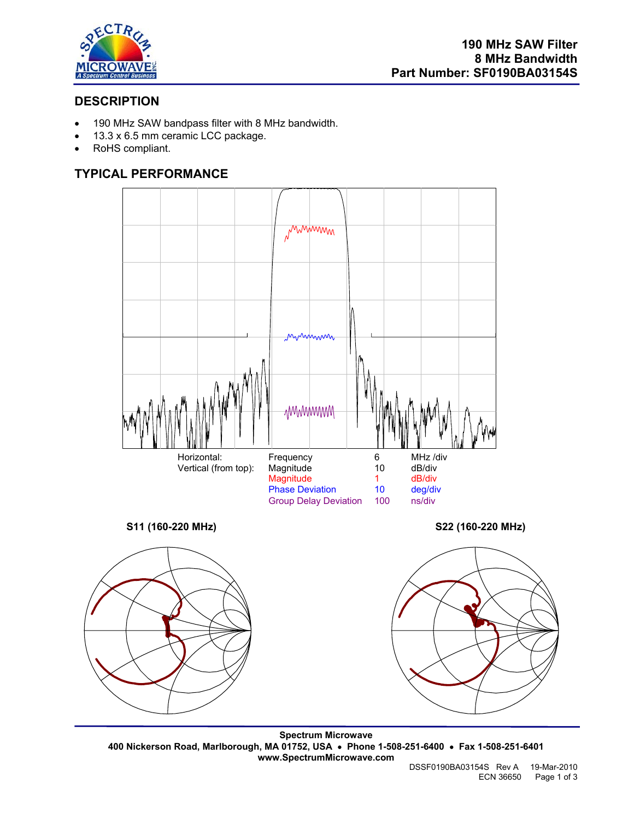

# **DESCRIPTION**

- 190 MHz SAW bandpass filter with 8 MHz bandwidth.
- 13.3 x 6.5 mm ceramic LCC package.
- RoHS compliant.

## **TYPICAL PERFORMANCE**



**Spectrum Microwave 400 Nickerson Road, Marlborough, MA 01752, USA** • **Phone 1-508-251-6400** • **Fax 1-508-251-6401 www.SpectrumMicrowave.com**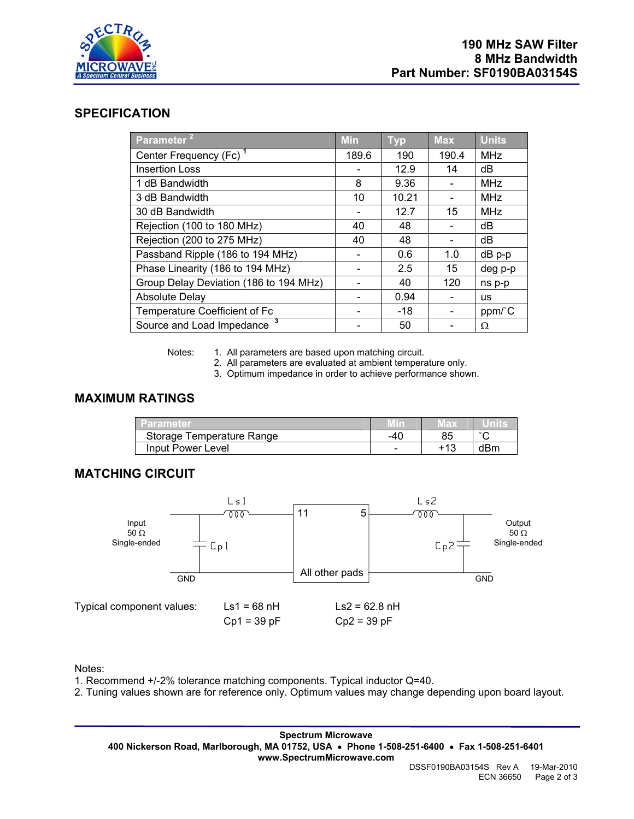

## **SPECIFICATION**

| Parameter <sup>21</sup>                | <b>Min</b> | <b>Typ</b> | <b>Max</b> | <b>Units</b> |
|----------------------------------------|------------|------------|------------|--------------|
| Center Frequency (Fc) <sup>1</sup>     | 189.6      | 190        | 190.4      | <b>MHz</b>   |
| <b>Insertion Loss</b>                  |            | 12.9       | 14         | dB           |
| 1 dB Bandwidth                         | 8          | 9.36       |            | <b>MHz</b>   |
| 3 dB Bandwidth                         | 10         | 10.21      |            | <b>MHz</b>   |
| 30 dB Bandwidth                        |            | 12.7       | 15         | <b>MHz</b>   |
| Rejection (100 to 180 MHz)             | 40         | 48         |            | dB           |
| Rejection (200 to 275 MHz)             | 40         | 48         |            | dB           |
| Passband Ripple (186 to 194 MHz)       |            | 0.6        | 1.0        | dB p-p       |
| Phase Linearity (186 to 194 MHz)       |            | 2.5        | 15         | deg p-p      |
| Group Delay Deviation (186 to 194 MHz) |            | 40         | 120        | ns p-p       |
| <b>Absolute Delay</b>                  |            | 0.94       |            | <b>us</b>    |
| Temperature Coefficient of Fc          |            | $-18$      |            | ppm/°C       |
| Source and Load Impedance <sup>3</sup> |            | 50         |            | Ω            |

Notes: 1. All parameters are based upon matching circuit.

2. All parameters are evaluated at ambient temperature only.

3. Optimum impedance in order to achieve performance shown.

### **MAXIMUM RATINGS**

| <b>Parameter</b>          |     | ED. |        |
|---------------------------|-----|-----|--------|
| Storage Temperature Range | -40 |     | $\sim$ |
| Input Power Level         | -   | 142 | dBm    |

# **MATCHING CIRCUIT**



Notes:

1. Recommend +/-2% tolerance matching components. Typical inductor Q=40.

2. Tuning values shown are for reference only. Optimum values may change depending upon board layout.

**Spectrum Microwave 400 Nickerson Road, Marlborough, MA 01752, USA** • **Phone 1-508-251-6400** • **Fax 1-508-251-6401 www.SpectrumMicrowave.com**